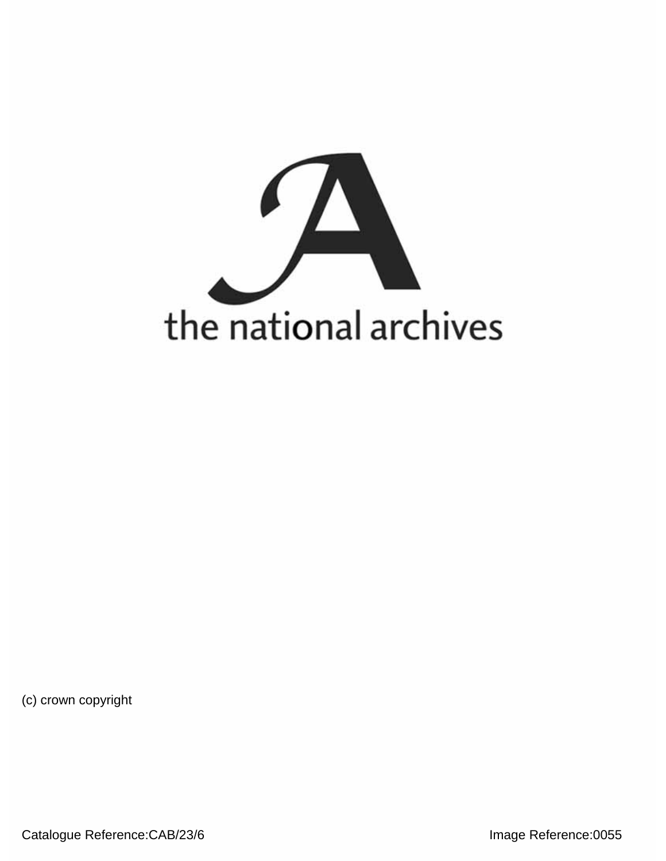

(c) crown copyright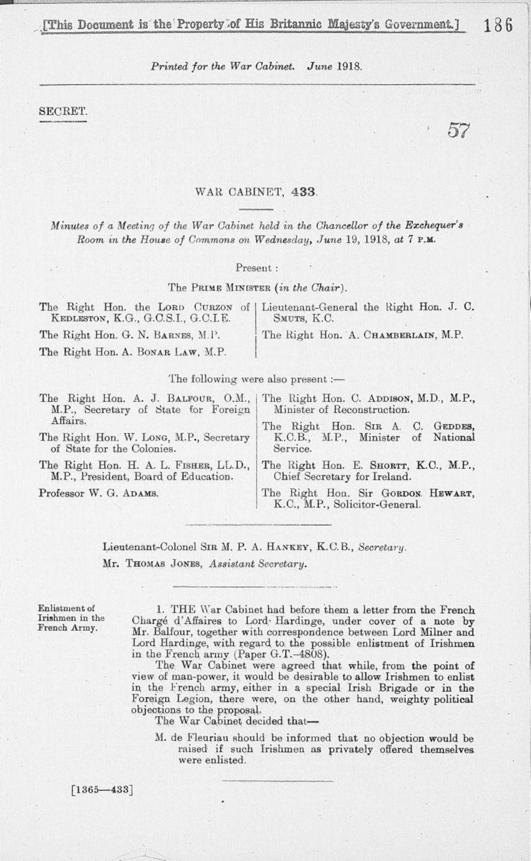57

*Printed for the War Cabinet. June* 1918.

SECRET.

## WAR CABINET, 433.

*Minutes of a Meeting of the War Cabinet held in the Chancellor of the Exchequer'3 Room m the House of Commons on Wednesday, June* 19, 1918, *at* 7 P.M.

Present :

The PRIME MINISTER *(in the Chair).* 

| KEDLESTON, K.G., G.C.S.I., G.C.I.E. | The Right Hon. the LORD CURZON of   Lieutenant-General the Right Hon. J. C.<br>SMUTS, K.C. |
|-------------------------------------|--------------------------------------------------------------------------------------------|
| The Right Hon. G. N. BARNES, M.P.   | The Right Hon. A. CHAMBERLAIN, M.P.                                                        |
| The Right Hon. A. BONAR LAW, M.P.   |                                                                                            |

The following were also present :-

| M.P., Secretary of State for Foreign                                           | The Right Hon. A. J. BALFOUR, O.M.,   The Right Hon. C. ADDISON, M.D., M.P.,<br>Minister of Reconstruction. |
|--------------------------------------------------------------------------------|-------------------------------------------------------------------------------------------------------------|
| Affairs.                                                                       | The Right Hon. SIR A. C. GEDDES,                                                                            |
| The Right Hon. W. Long, M.P., Secretary<br>of State for the Colonies.          | K.C.B., M.P., Minister of National<br>Service.                                                              |
| The Right Hon. H. A. L. FISHER, LL.D.,<br>M.P., President, Board of Education. | The Right Hon. E. SHORTT, K.C., M.P.,<br>Chief Secretary for Ireland.                                       |
| Professor W. G. ADAMS.                                                         | The Right Hon. Sir GORDON HEWART,<br>K.C., M.P., Solicitor-General.                                         |

Lieutenant-Colonel SIR M. P. A. HANKEY, K.C.B., *Secretary.*  Mr. THOMAS JONES, *Assistant Secretary.* 

Enlistment of 1. THE War Cabinet had before them a letter from the French Irishmen in the Chargé d'Affaires to Lord<sup>,</sup> Hardinge, under cover of a note by French Army. Mr. Balfour, together with correspondence between Lord Milner and Lord Hardinge, with regard to, the possible enlistment of Irishmen in the French army (Paper G.T.-4808).

> The War Cabinet were agreed that while, from the point of view of man-power, it would be desirable to allow Irishmen to enlist in the French army, either in a special Irish Brigade or in the Foreign Legion, there were, on the other hand, weighty political objections to the proposal.

The War Cabinet decided that—

M. de Fleuriau should be informed that no objection would be raised if such Irishmen as privately offered themselves, were enlisted.

 $[1365 - 433]$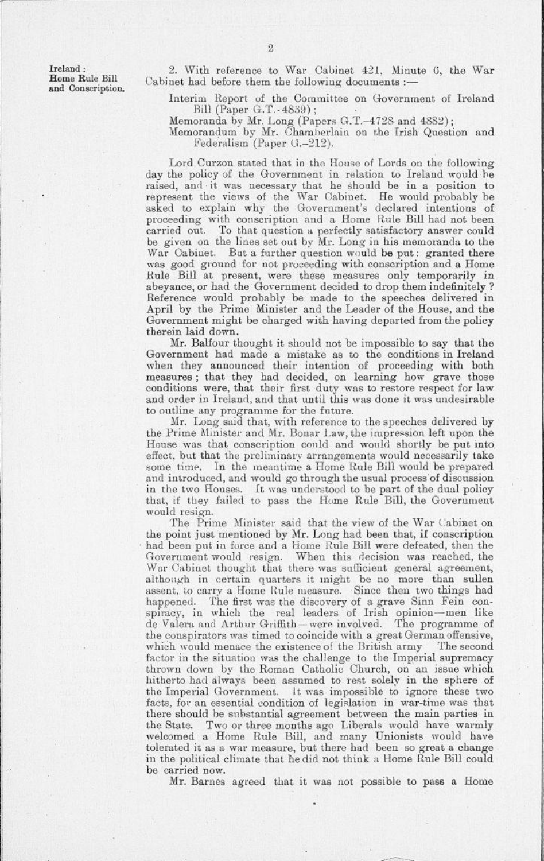Ireland: 2. With reference to War Cabinet 421, Minute 6, the War Home Rule Bill Cabinet had before them the following documents :-

and Conscription. Labinet had before them the following documents: .<br>— Interim Report of the Committee on Government of Ireland Bill (Paper G.T.-4839) ;

Memoranda by Mr. Long (Papers G.T.-4728 and 4882);

Memorandum by Mr. Chamberlain on the Irish Question and Federalism (Paper G.-212).

Lord Curzon stated that in the House of Lords on the following day the policy of the Government in relation to Ireland would he raised, and it was necessary that he should be in a position to represent the views of the War Cabinet. He would probably he asked to explain why the Government's declared intentions of proceeding with conscription and a Home Rule Bill had not been carried out. To that question a perfectly satisfactory answer could be given on the lines set out by Mr. Long in his memoranda to the War Cabinet. But a further question would be put: granted there was good ground for not proceeding with conscription and a Home Bule Bill at present, were these measures only temporarily in abeyance, or had the Government decided to drop them indefinitely ? Reference would probably be made to the speeches delivered in April by the Prime Minister and the Leader of the House, and the Government might be charged with having departed from the policy therein laid down.

Mr. Balfour thought it should not be impossible to say that the Government had made a mistake as to the conditions in Ireland when they announced their intention of proceeding with both measures ; that they had decided, on learning how grave those conditions were, that their first duty was to restore respect for law and order in Ireland, and that until this was done it was undesirable to outline any programme for the future.

Mr. Long said that, with reference to the speeches delivered by the Prime Minister and Mr. Bonar Law, the impression left upon the House was that conscription could and would shortly be put into effect, but that the preliminary arrangements would necessarily take some time. In the meantime a Home Rule Bill would be prepared and introduced, and would go through the usual process of discussion in the two Houses. It was understood to be part of the dual policy that, if they failed to pass the Home Rule Bill, the Government would resign.

The Prime Minister said that the view of the War Cabinet on the point just mentioned by Mr. Long had been that, if conscription had been put in force and a Home Rule Bill were defeated, then the Government would resign. When this decision was reached, the War Cabinet thought that there was sufficient general agreement, although in certain quarters it might be no more than sullen assent, to carry a Home Rule measure. Since then two things had happened. The first was the discovery of a grave Sinn Fein conspiracy, in which the real leaders of Irish opinion—men like de Valera and Arthur Griffith-were involved. The programme of the conspirators was timed to coincide with a great German offensive, which would menace the existence of the British army The second factor in the situation was the challenge to the Imperial supremacy thrown down by the Roman Catholic Church, on an issue which hitherto had always been assumed to rest solely in the sphere of the Imperial Government, it was impossible to ignore these two facts, for an essential condition of legislation in war-time was that there should be substantial agreement between the main parties in the State. Two or three months ago liberals would have warmly welcomed a Home Rule Bill, and many Unionists would have tolerated it as a war measure, but there had been so great a change in the political climate that he did not think a Home Rule Bill could be carried now.

Mr. Barnes agreed that it was not possible to pass a Home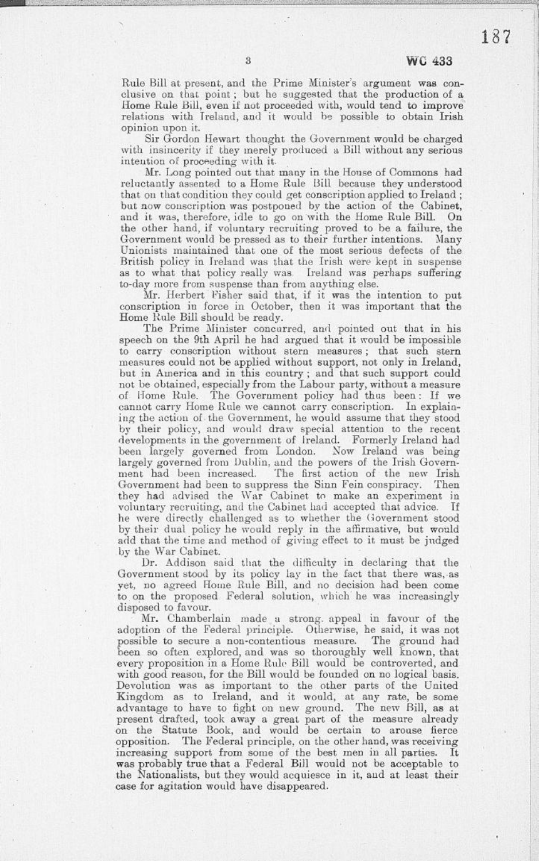187

Rule Bill at present, and the Prime Minister's argument was conclusive on that point ; but he suggested that the production of a Home Rule Bill, even if not proceeded with, would tend to improve relations with Ireland, and it would be possible to obtain Irish opinion upon it.

Sir Gordon Hewart thought the Government would be charged with insincerity if they merely produced a Bill without any serious intention of proceeding with it.

Mr. Long pointed out that many in the House of Commons had reluctantly assented to a Home Rule Bill because they understood that on that condition they could get conscription applied to Ireland ; but now conscription was postponed by the action of the Cabinet, and it was, therefore, idle to go on with the Home Rule Bill. On the other hand, if voluntary recruiting proved to be a failure, the Government would be pressed as to their further intentions. Many Unionists maintained that one of the most serious defects of the British policy in Ireland was that the Irish were kept in suspense as to what that policy really was. Ireland was perhaps suffering to-day more from suspense than from anything else.

Mr. Herbert Fisher said that, if it was the intention to put conscription in force in October, then it was important that the Home Rule Bill should be ready.

The Prime Minister concurred, and pointed out that in his speech on the 9th April he had argued that it would be impossible to carry conscription without stern measures ; that such stern measures could not be applied without support, not only in Ireland, but in America and in this country ; and that such support could not be obtained, especially from the Labour party, without a measure of Home Rule. The Government policy had thus been: If we cannot carry Home Rule we cannot carry conscription. In explaining the action of-the Government, he would assume that they stood by their policy, and would draw special attention to the recent developments in the government of Ireland. Formerly Ireland had been largely governed from London. Now Ireland was being largely governed from Dublin, and the powers of the Irish Government had been increased. The first action of the new Irish Government had been to suppress the Sinn Fein conspiracy. Then they had advised the War Cabinet to make an experiment in voluntary recruiting, and the Cabinet had accepted that advice. If he were directly challenged as to whether the Government stood by their dual policy he would reply in the affirmative, but would add that the time and method of giving effect to it must be judged by the War Cabinet.

Dr. Addison said that the difficulty in declaring that the Government stood by its policy lay in the fact that there was, as yet, no agreed Home Rule Bill, and no decision had been come to on the proposed Federal solution, which he was increasingly disposed to favour.

Mr. Chamberlain made a strong, appeal in favour of the adoption of the Federal principle. Otherwise, he said, it was not possible to secure a non-contentious measure. The ground had been so often explored, and was so thoroughly well known, that every proposition in a Home Ride Bill would be controverted, and with good reason, for the Bill would be founded on no logical basis. Devolution was as important to the other parts of the United Kingdom as to Ireland, and it would, at any rate, be some advantage to have to fight on new ground. The new Bill, as at present drafted, took away a great part of the measure already on the Statute Book, and would be certain to arouse fierce opposition. The Federal principle, on the other hand, was receiving increasing support from some of the best men in all parties. It was probably true that a Federal Bill would not be acceptable to the Nationalists, but they would acquiesce in it, and at least their case for agitation would have disappeared.